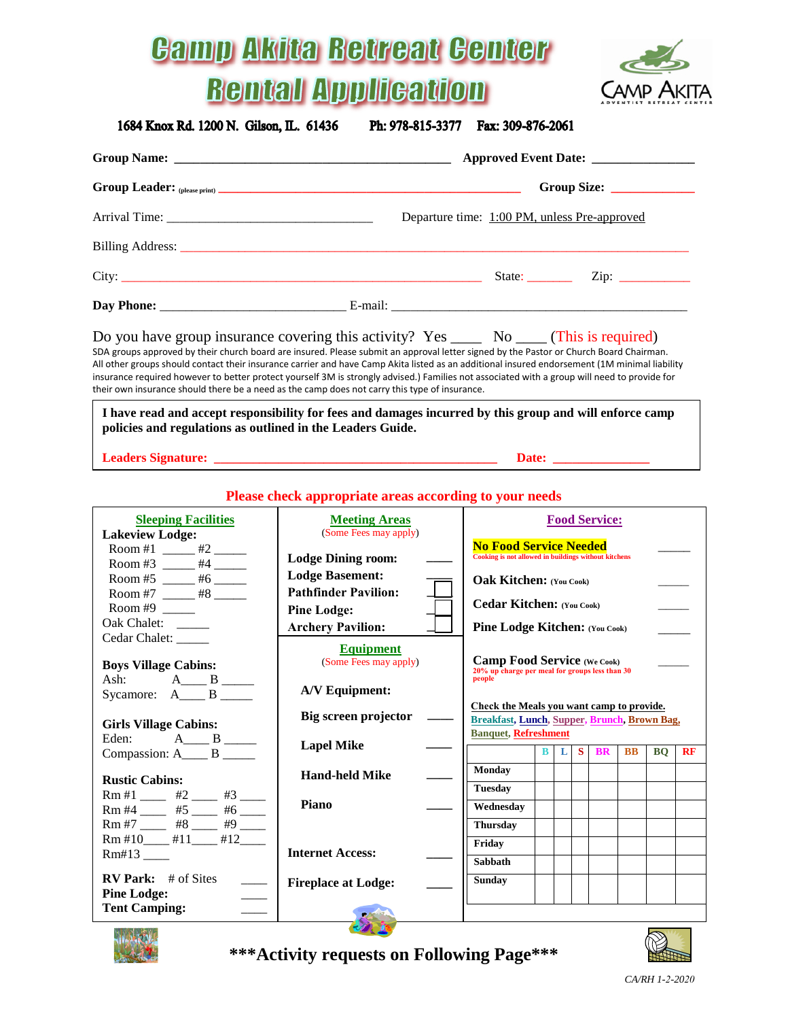## **Gamp Akita Retreat Genter Rental Application**



1684 Knox Rd. 1200 N. Gilson, IL. 61436

Ph: 978-815-3377 Fax: 309-876-2061

|                                                                                                                                                                                                                                                                                                                                        | Departure time: 1:00 PM, unless Pre-approved                                                                                                                                                                                                                                                  |
|----------------------------------------------------------------------------------------------------------------------------------------------------------------------------------------------------------------------------------------------------------------------------------------------------------------------------------------|-----------------------------------------------------------------------------------------------------------------------------------------------------------------------------------------------------------------------------------------------------------------------------------------------|
|                                                                                                                                                                                                                                                                                                                                        |                                                                                                                                                                                                                                                                                               |
|                                                                                                                                                                                                                                                                                                                                        |                                                                                                                                                                                                                                                                                               |
|                                                                                                                                                                                                                                                                                                                                        |                                                                                                                                                                                                                                                                                               |
| Do you have group insurance covering this activity? Yes _______ No _____ (This is required)<br>SDA groups approved by their church board are insured. Please submit an approval letter signed by the Pastor or Church Board Chairman.<br>their own insurance should there be a need as the camp does not carry this type of insurance. | All other groups should contact their insurance carrier and have Camp Akita listed as an additional insured endorsement (1M minimal liability<br>insurance required however to better protect yourself 3M is strongly advised.) Families not associated with a group will need to provide for |

**I have read and accept responsibility for fees and damages incurred by this group and will enforce camp policies and regulations as outlined in the Leaders Guide.**

| <b>Leaders Signature:</b> |  |  |
|---------------------------|--|--|
|                           |  |  |

## **Please check appropriate areas according to your needs**

| <b>Sleeping Facilities</b><br><b>Lakeview Lodge:</b>                                                                         | <b>Meeting Areas</b><br>(Some Fees may apply)         | <b>Food Service:</b>                                                                           |
|------------------------------------------------------------------------------------------------------------------------------|-------------------------------------------------------|------------------------------------------------------------------------------------------------|
| Room #1 _____ #2 ____<br>Room #3 _____ #4 _____                                                                              | <b>Lodge Dining room:</b>                             | <b>No Food Service Needed</b><br>Cooking is not allowed in buildings without kitchens          |
| Room #5 _____ #6 _____<br>Room #7 _____ #8 ____                                                                              | <b>Lodge Basement:</b><br><b>Pathfinder Pavilion:</b> | <b>Oak Kitchen:</b> (You Cook)                                                                 |
| Room #9 $\frac{1}{2}$<br>Oak Chalet:                                                                                         | <b>Pine Lodge:</b>                                    | Cedar Kitchen: (You Cook)                                                                      |
| Cedar Chalet: _____                                                                                                          | <b>Archery Pavilion:</b><br><b>Equipment</b>          | <b>Pine Lodge Kitchen:</b> (You Cook)                                                          |
| <b>Boys Village Cabins:</b><br>Ash: $A_{\underline{\hspace{1cm}} B_{\underline{\hspace{1cm}}}} B_{\underline{\hspace{1cm}}}$ | (Some Fees may apply)                                 | <b>Camp Food Service</b> (We Cook)<br>20% up charge per meal for groups less than 30<br>people |
| Sycamore: $A_{\text{max}}B_{\text{max}}$                                                                                     | <b>A/V Equipment:</b>                                 | Check the Meals you want camp to provide.                                                      |
| <b>Girls Village Cabins:</b><br>Eden: $A_{\text{max}}B_{\text{max}}$                                                         | Big screen projector                                  | Breakfast, Lunch, Supper, Brunch, Brown Bag,<br><b>Banquet, Refreshment</b>                    |
| Compassion: A____ B ____                                                                                                     | <b>Lapel Mike</b>                                     | $\mathbf{B}$<br>S BR<br>$\mathbf{L}$<br><b>BB</b><br><b>BO</b><br><b>RF</b>                    |
| <b>Rustic Cabins:</b><br>$Rm #1$ ____ #2 ___ #3 ___                                                                          | <b>Hand-held Mike</b>                                 | <b>Monday</b><br><b>Tuesday</b>                                                                |
| $Rm #4$ _____ #5 ____ #6 ____<br>$Rm #7$ _____ #8 ____ #9 ____                                                               | Piano                                                 | Wednesday<br><b>Thursday</b>                                                                   |
| $Rm #10$ #11 #12<br>Rm#13                                                                                                    | <b>Internet Access:</b>                               | Friday                                                                                         |
| $RV$ Park: # of Sites                                                                                                        |                                                       | Sabbath<br><b>Sunday</b>                                                                       |
| <b>Pine Lodge:</b><br><b>Tent Camping:</b>                                                                                   | <b>Fireplace at Lodge:</b>                            |                                                                                                |
| <b>MORALEWS</b>                                                                                                              |                                                       | $\sim$                                                                                         |



**\*\*\*Activity requests on Following Page\*\*\***